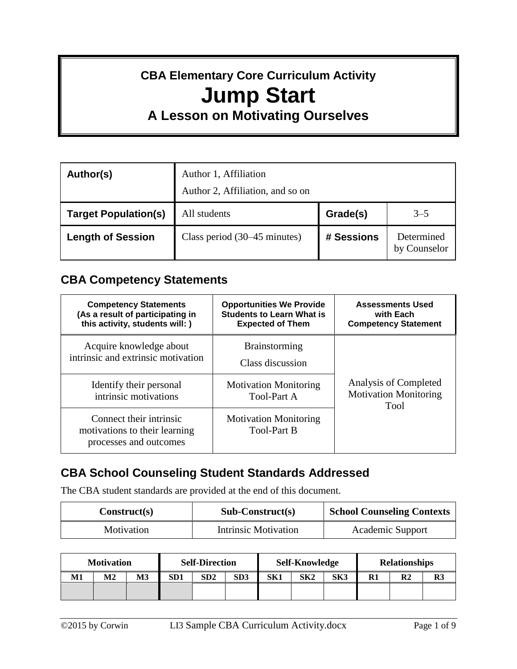# **CBA Elementary Core Curriculum Activity Jump Start A Lesson on Motivating Ourselves**

# **Author(s)** Author 1, Affiliation Author 2, Affiliation, and so on **Target Population(s)** All students **Grade(s)** 3–5 **Length of Session** Class period (30–45 minutes) **# Sessions** Determined by Counselor

## **CBA Competency Statements**

| <b>Competency Statements</b><br>(As a result of participating in<br>this activity, students will: ) | <b>Opportunities We Provide</b><br><b>Students to Learn What is</b><br><b>Expected of Them</b> | <b>Assessments Used</b><br>with Each<br><b>Competency Statement</b>  |  |  |
|-----------------------------------------------------------------------------------------------------|------------------------------------------------------------------------------------------------|----------------------------------------------------------------------|--|--|
| Acquire knowledge about<br>intrinsic and extrinsic motivation                                       | <b>Brainstorming</b><br>Class discussion                                                       |                                                                      |  |  |
| Identify their personal<br>intrinsic motivations                                                    | <b>Motivation Monitoring</b><br><b>Tool-Part A</b>                                             | Analysis of Completed<br><b>Motivation Monitoring</b><br><b>Tool</b> |  |  |
| Connect their intrinsic<br>motivations to their learning<br>processes and outcomes                  | <b>Motivation Monitoring</b><br><b>Tool-Part B</b>                                             |                                                                      |  |  |

## **CBA School Counseling Student Standards Addressed**

The CBA student standards are provided at the end of this document.

| Construct(s) | $Sub-Construct(s)$   | <b>School Counseling Contexts</b> |  |  |
|--------------|----------------------|-----------------------------------|--|--|
| Motivation   | Intrinsic Motivation | <b>Academic Support</b>           |  |  |

| <b>Motivation</b> |    | <b>Self-Direction</b> |     | <b>Self-Knowledge</b> |     |     | <b>Relationships</b> |     |         |                |    |
|-------------------|----|-----------------------|-----|-----------------------|-----|-----|----------------------|-----|---------|----------------|----|
| Μ1                | M2 | M3                    | SD1 | SD2                   | SD3 | SK1 | SK2                  | SK3 | D1<br>w | R <sub>2</sub> | R3 |
|                   |    |                       |     |                       |     |     |                      |     |         |                |    |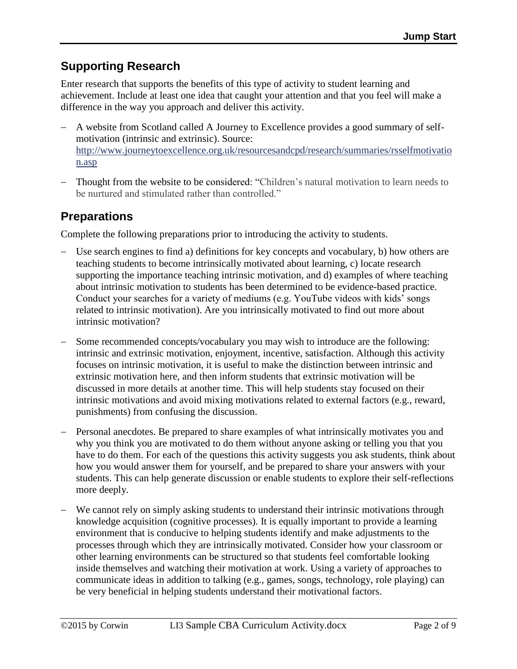# **Supporting Research**

Enter research that supports the benefits of this type of activity to student learning and achievement. Include at least one idea that caught your attention and that you feel will make a difference in the way you approach and deliver this activity.

- A website from Scotland called A Journey to Excellence provides a good summary of selfmotivation (intrinsic and extrinsic). Source: [http://www.journeytoexcellence.org.uk/resourcesandcpd/research/summaries/rsselfmotivatio](http://www.journeytoexcellence.org.uk/resourcesandcpd/research/summaries/rsselfmotivation.asp) [n.asp](http://www.journeytoexcellence.org.uk/resourcesandcpd/research/summaries/rsselfmotivation.asp)
- Thought from the website to be considered: "Children's natural motivation to learn needs to be nurtured and stimulated rather than controlled."

## **Preparations**

Complete the following preparations prior to introducing the activity to students.

- Use search engines to find a) definitions for key concepts and vocabulary, b) how others are teaching students to become intrinsically motivated about learning, c) locate research supporting the importance teaching intrinsic motivation, and d) examples of where teaching about intrinsic motivation to students has been determined to be evidence-based practice. Conduct your searches for a variety of mediums (e.g. YouTube videos with kids' songs related to intrinsic motivation). Are you intrinsically motivated to find out more about intrinsic motivation?
- Some recommended concepts/vocabulary you may wish to introduce are the following: intrinsic and extrinsic motivation, enjoyment, incentive, satisfaction. Although this activity focuses on intrinsic motivation, it is useful to make the distinction between intrinsic and extrinsic motivation here, and then inform students that extrinsic motivation will be discussed in more details at another time. This will help students stay focused on their intrinsic motivations and avoid mixing motivations related to external factors (e.g., reward, punishments) from confusing the discussion.
- Personal anecdotes. Be prepared to share examples of what intrinsically motivates you and why you think you are motivated to do them without anyone asking or telling you that you have to do them. For each of the questions this activity suggests you ask students, think about how you would answer them for yourself, and be prepared to share your answers with your students. This can help generate discussion or enable students to explore their self-reflections more deeply.
- We cannot rely on simply asking students to understand their intrinsic motivations through knowledge acquisition (cognitive processes). It is equally important to provide a learning environment that is conducive to helping students identify and make adjustments to the processes through which they are intrinsically motivated. Consider how your classroom or other learning environments can be structured so that students feel comfortable looking inside themselves and watching their motivation at work. Using a variety of approaches to communicate ideas in addition to talking (e.g., games, songs, technology, role playing) can be very beneficial in helping students understand their motivational factors.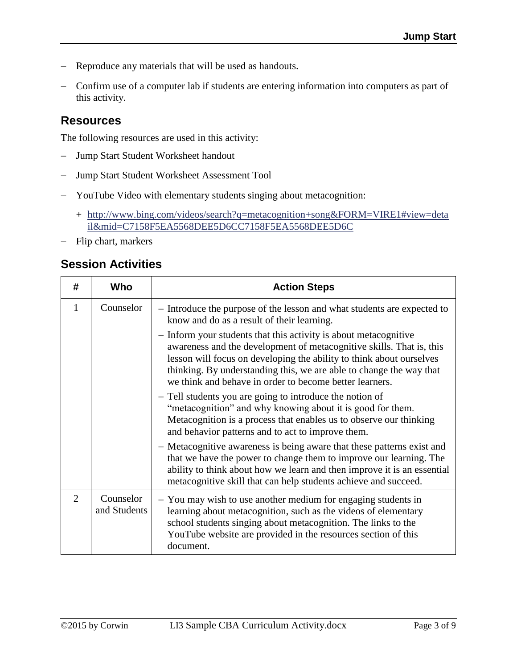- Reproduce any materials that will be used as handouts.
- Confirm use of a computer lab if students are entering information into computers as part of this activity.

### **Resources**

The following resources are used in this activity:

- Jump Start Student Worksheet handout
- Jump Start Student Worksheet Assessment Tool
- YouTube Video with elementary students singing about metacognition:
	- + [http://www.bing.com/videos/search?q=metacognition+song&FORM=VIRE1#view=deta](http://www.bing.com/videos/search?q=metacognition+song&FORM=VIRE1#view=detail&mid=C7158F5EA5568DEE5D6CC7158F5EA5568DEE5D6C) [il&mid=C7158F5EA5568DEE5D6CC7158F5EA5568DEE5D6C](http://www.bing.com/videos/search?q=metacognition+song&FORM=VIRE1#view=detail&mid=C7158F5EA5568DEE5D6CC7158F5EA5568DEE5D6C)
- Flip chart, markers

### **Session Activities**

| #                           | Who                       | <b>Action Steps</b>                                                                                                                                                                                                                                                                                                                                |  |  |  |  |
|-----------------------------|---------------------------|----------------------------------------------------------------------------------------------------------------------------------------------------------------------------------------------------------------------------------------------------------------------------------------------------------------------------------------------------|--|--|--|--|
| 1                           | Counselor                 | - Introduce the purpose of the lesson and what students are expected to<br>know and do as a result of their learning.                                                                                                                                                                                                                              |  |  |  |  |
|                             |                           | - Inform your students that this activity is about metacognitive<br>awareness and the development of metacognitive skills. That is, this<br>lesson will focus on developing the ability to think about ourselves<br>thinking. By understanding this, we are able to change the way that<br>we think and behave in order to become better learners. |  |  |  |  |
|                             |                           | - Tell students you are going to introduce the notion of<br>"metacognition" and why knowing about it is good for them.<br>Metacognition is a process that enables us to observe our thinking<br>and behavior patterns and to act to improve them.                                                                                                  |  |  |  |  |
|                             |                           | - Metacognitive awareness is being aware that these patterns exist and<br>that we have the power to change them to improve our learning. The<br>ability to think about how we learn and then improve it is an essential<br>metacognitive skill that can help students achieve and succeed.                                                         |  |  |  |  |
| $\mathcal{D}_{\mathcal{L}}$ | Counselor<br>and Students | - You may wish to use another medium for engaging students in<br>learning about metacognition, such as the videos of elementary<br>school students singing about metacognition. The links to the<br>YouTube website are provided in the resources section of this<br>document.                                                                     |  |  |  |  |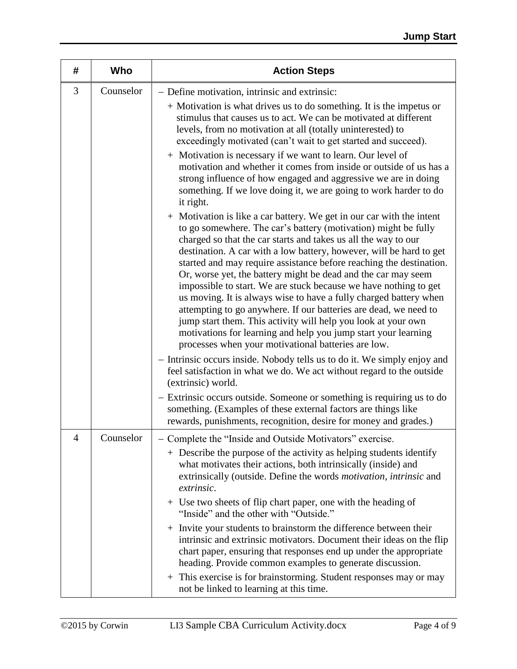| #        | Who       | <b>Action Steps</b>                                                                                                                                                                                                                                                                                                                                                                                                                                                                                                                                                                                                                                                                                                                                                                                                             |  |  |  |
|----------|-----------|---------------------------------------------------------------------------------------------------------------------------------------------------------------------------------------------------------------------------------------------------------------------------------------------------------------------------------------------------------------------------------------------------------------------------------------------------------------------------------------------------------------------------------------------------------------------------------------------------------------------------------------------------------------------------------------------------------------------------------------------------------------------------------------------------------------------------------|--|--|--|
| 3        | Counselor | - Define motivation, intrinsic and extrinsic:<br>+ Motivation is what drives us to do something. It is the impetus or<br>stimulus that causes us to act. We can be motivated at different<br>levels, from no motivation at all (totally uninterested) to<br>exceedingly motivated (can't wait to get started and succeed).                                                                                                                                                                                                                                                                                                                                                                                                                                                                                                      |  |  |  |
|          |           | + Motivation is necessary if we want to learn. Our level of<br>motivation and whether it comes from inside or outside of us has a<br>strong influence of how engaged and aggressive we are in doing<br>something. If we love doing it, we are going to work harder to do<br>it right.                                                                                                                                                                                                                                                                                                                                                                                                                                                                                                                                           |  |  |  |
|          |           | + Motivation is like a car battery. We get in our car with the intent<br>to go somewhere. The car's battery (motivation) might be fully<br>charged so that the car starts and takes us all the way to our<br>destination. A car with a low battery, however, will be hard to get<br>started and may require assistance before reaching the destination.<br>Or, worse yet, the battery might be dead and the car may seem<br>impossible to start. We are stuck because we have nothing to get<br>us moving. It is always wise to have a fully charged battery when<br>attempting to go anywhere. If our batteries are dead, we need to<br>jump start them. This activity will help you look at your own<br>motivations for learning and help you jump start your learning<br>processes when your motivational batteries are low. |  |  |  |
|          |           | - Intrinsic occurs inside. Nobody tells us to do it. We simply enjoy and<br>feel satisfaction in what we do. We act without regard to the outside<br>(extrinsic) world.                                                                                                                                                                                                                                                                                                                                                                                                                                                                                                                                                                                                                                                         |  |  |  |
|          |           | - Extrinsic occurs outside. Someone or something is requiring us to do<br>something. (Examples of these external factors are things like<br>rewards, punishments, recognition, desire for money and grades.)                                                                                                                                                                                                                                                                                                                                                                                                                                                                                                                                                                                                                    |  |  |  |
| $\Delta$ | Counselor | Complete the "Inside and Outside Motivators" exercise.<br>+ Describe the purpose of the activity as helping students identify<br>what motivates their actions, both intrinsically (inside) and<br>extrinsically (outside. Define the words <i>motivation</i> , <i>intrinsic</i> and<br>extrinsic.                                                                                                                                                                                                                                                                                                                                                                                                                                                                                                                               |  |  |  |
|          |           | + Use two sheets of flip chart paper, one with the heading of<br>"Inside" and the other with "Outside."                                                                                                                                                                                                                                                                                                                                                                                                                                                                                                                                                                                                                                                                                                                         |  |  |  |
|          |           | + Invite your students to brainstorm the difference between their<br>intrinsic and extrinsic motivators. Document their ideas on the flip<br>chart paper, ensuring that responses end up under the appropriate<br>heading. Provide common examples to generate discussion.                                                                                                                                                                                                                                                                                                                                                                                                                                                                                                                                                      |  |  |  |
|          |           | + This exercise is for brainstorming. Student responses may or may<br>not be linked to learning at this time.                                                                                                                                                                                                                                                                                                                                                                                                                                                                                                                                                                                                                                                                                                                   |  |  |  |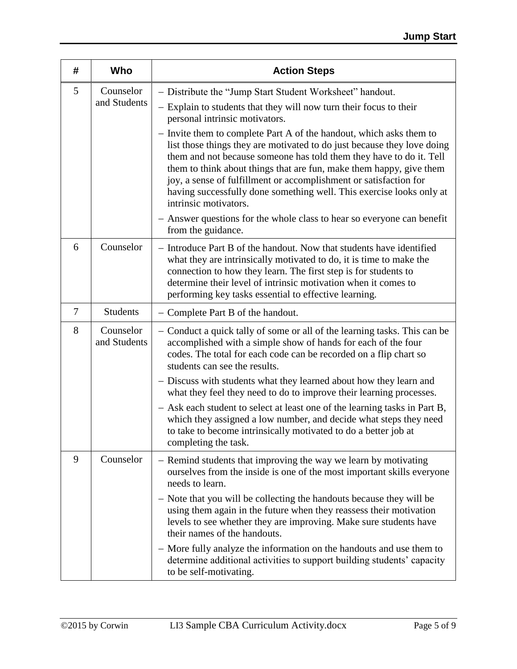| #              | Who                       | <b>Action Steps</b>                                                                                                                                                                                                                                                                                                                                                                                                                                                                                                                                                                                                                                                                                              |  |  |  |  |
|----------------|---------------------------|------------------------------------------------------------------------------------------------------------------------------------------------------------------------------------------------------------------------------------------------------------------------------------------------------------------------------------------------------------------------------------------------------------------------------------------------------------------------------------------------------------------------------------------------------------------------------------------------------------------------------------------------------------------------------------------------------------------|--|--|--|--|
| 5              | Counselor<br>and Students | - Distribute the "Jump Start Student Worksheet" handout.<br>- Explain to students that they will now turn their focus to their<br>personal intrinsic motivators.<br>- Invite them to complete Part A of the handout, which asks them to<br>list those things they are motivated to do just because they love doing<br>them and not because someone has told them they have to do it. Tell<br>them to think about things that are fun, make them happy, give them<br>joy, a sense of fulfillment or accomplishment or satisfaction for<br>having successfully done something well. This exercise looks only at<br>intrinsic motivators.<br>- Answer questions for the whole class to hear so everyone can benefit |  |  |  |  |
| 6              | Counselor                 | from the guidance.<br>- Introduce Part B of the handout. Now that students have identified<br>what they are intrinsically motivated to do, it is time to make the<br>connection to how they learn. The first step is for students to<br>determine their level of intrinsic motivation when it comes to<br>performing key tasks essential to effective learning.                                                                                                                                                                                                                                                                                                                                                  |  |  |  |  |
| $\overline{7}$ | <b>Students</b>           | - Complete Part B of the handout.                                                                                                                                                                                                                                                                                                                                                                                                                                                                                                                                                                                                                                                                                |  |  |  |  |
| 8              | Counselor<br>and Students | - Conduct a quick tally of some or all of the learning tasks. This can be<br>accomplished with a simple show of hands for each of the four<br>codes. The total for each code can be recorded on a flip chart so<br>students can see the results.<br>- Discuss with students what they learned about how they learn and<br>what they feel they need to do to improve their learning processes.<br>- Ask each student to select at least one of the learning tasks in Part B,<br>which they assigned a low number, and decide what steps they need<br>to take to become intrinsically motivated to do a better job at<br>completing the task.                                                                      |  |  |  |  |
| 9              | Counselor                 | - Remind students that improving the way we learn by motivating<br>ourselves from the inside is one of the most important skills everyone<br>needs to learn.<br>- Note that you will be collecting the handouts because they will be<br>using them again in the future when they reassess their motivation<br>levels to see whether they are improving. Make sure students have<br>their names of the handouts.<br>- More fully analyze the information on the handouts and use them to<br>determine additional activities to support building students' capacity<br>to be self-motivating.                                                                                                                      |  |  |  |  |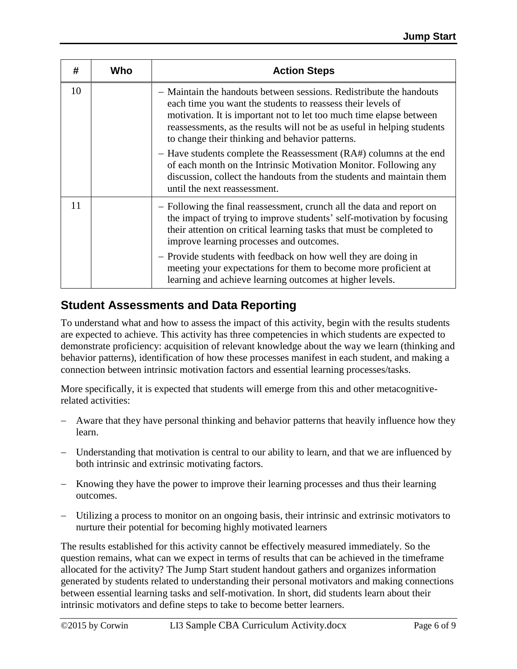| #  | Who                                                                                                                                                                                                                                            | <b>Action Steps</b>                                                                                                                                                                                                                                                                                                                     |  |  |  |  |
|----|------------------------------------------------------------------------------------------------------------------------------------------------------------------------------------------------------------------------------------------------|-----------------------------------------------------------------------------------------------------------------------------------------------------------------------------------------------------------------------------------------------------------------------------------------------------------------------------------------|--|--|--|--|
| 10 |                                                                                                                                                                                                                                                | - Maintain the handouts between sessions. Redistribute the handouts<br>each time you want the students to reassess their levels of<br>motivation. It is important not to let too much time elapse between<br>reassessments, as the results will not be as useful in helping students<br>to change their thinking and behavior patterns. |  |  |  |  |
|    | - Have students complete the Reassessment (RA#) columns at the end<br>of each month on the Intrinsic Motivation Monitor. Following any<br>discussion, collect the handouts from the students and maintain them<br>until the next reassessment. |                                                                                                                                                                                                                                                                                                                                         |  |  |  |  |
| 11 |                                                                                                                                                                                                                                                | - Following the final reassessment, crunch all the data and report on<br>the impact of trying to improve students' self-motivation by focusing<br>their attention on critical learning tasks that must be completed to<br>improve learning processes and outcomes.                                                                      |  |  |  |  |
|    |                                                                                                                                                                                                                                                | - Provide students with feedback on how well they are doing in<br>meeting your expectations for them to become more proficient at<br>learning and achieve learning outcomes at higher levels.                                                                                                                                           |  |  |  |  |

## **Student Assessments and Data Reporting**

To understand what and how to assess the impact of this activity, begin with the results students are expected to achieve. This activity has three competencies in which students are expected to demonstrate proficiency: acquisition of relevant knowledge about the way we learn (thinking and behavior patterns), identification of how these processes manifest in each student, and making a connection between intrinsic motivation factors and essential learning processes/tasks.

More specifically, it is expected that students will emerge from this and other metacognitiverelated activities:

- Aware that they have personal thinking and behavior patterns that heavily influence how they learn.
- Understanding that motivation is central to our ability to learn, and that we are influenced by both intrinsic and extrinsic motivating factors.
- Knowing they have the power to improve their learning processes and thus their learning outcomes.
- Utilizing a process to monitor on an ongoing basis, their intrinsic and extrinsic motivators to nurture their potential for becoming highly motivated learners

The results established for this activity cannot be effectively measured immediately. So the question remains, what can we expect in terms of results that can be achieved in the timeframe allocated for the activity? The Jump Start student handout gathers and organizes information generated by students related to understanding their personal motivators and making connections between essential learning tasks and self-motivation. In short, did students learn about their intrinsic motivators and define steps to take to become better learners.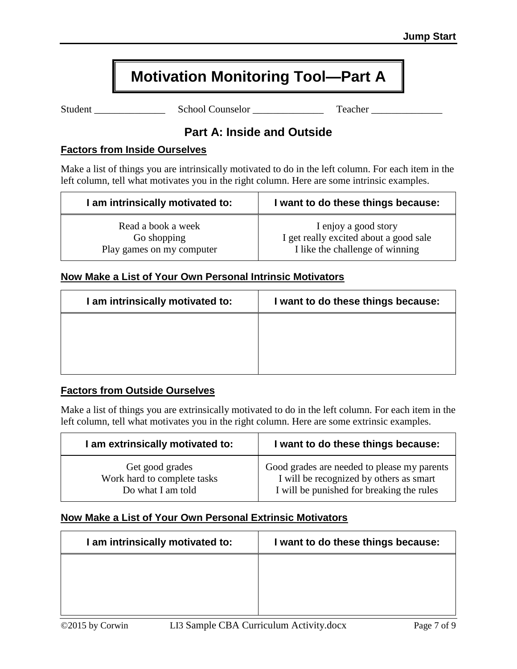# **Motivation Monitoring Tool—Part A**

Student \_\_\_\_\_\_\_\_\_\_\_\_\_\_ School Counselor \_\_\_\_\_\_\_\_\_\_\_\_\_\_ Teacher \_\_\_\_\_\_\_\_\_\_\_\_\_\_

### **Part A: Inside and Outside**

#### **Factors from Inside Ourselves**

Make a list of things you are intrinsically motivated to do in the left column. For each item in the left column, tell what motivates you in the right column. Here are some intrinsic examples.

| I am intrinsically motivated to: | I want to do these things because:     |
|----------------------------------|----------------------------------------|
| Read a book a week               | I enjoy a good story                   |
| Go shopping                      | I get really excited about a good sale |
| Play games on my computer        | I like the challenge of winning        |

### **Now Make a List of Your Own Personal Intrinsic Motivators**

| I am intrinsically motivated to: | I want to do these things because: |
|----------------------------------|------------------------------------|
|                                  |                                    |
|                                  |                                    |
|                                  |                                    |

#### **Factors from Outside Ourselves**

Make a list of things you are extrinsically motivated to do in the left column. For each item in the left column, tell what motivates you in the right column. Here are some extrinsic examples.

| I am extrinsically motivated to: | I want to do these things because:          |
|----------------------------------|---------------------------------------------|
| Get good grades                  | Good grades are needed to please my parents |
| Work hard to complete tasks      | I will be recognized by others as smart     |
| Do what I am told                | I will be punished for breaking the rules   |

### **Now Make a List of Your Own Personal Extrinsic Motivators**

| I am intrinsically motivated to: | I want to do these things because: |
|----------------------------------|------------------------------------|
|                                  |                                    |
|                                  |                                    |
|                                  |                                    |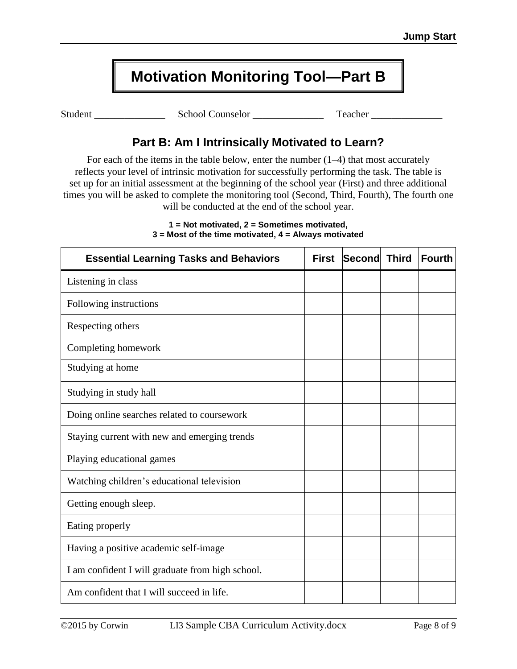# **Motivation Monitoring Tool—Part B**

Student \_\_\_\_\_\_\_\_\_\_\_\_\_\_ School Counselor \_\_\_\_\_\_\_\_\_\_\_\_\_\_ Teacher \_\_\_\_\_\_\_\_\_\_\_\_\_\_

## **Part B: Am I Intrinsically Motivated to Learn?**

For each of the items in the table below, enter the number  $(1-4)$  that most accurately reflects your level of intrinsic motivation for successfully performing the task. The table is set up for an initial assessment at the beginning of the school year (First) and three additional times you will be asked to complete the monitoring tool (Second, Third, Fourth), The fourth one will be conducted at the end of the school year.

| <b>Essential Learning Tasks and Behaviors</b>    | <b>First</b> | Second | <b>Third</b> | <b>Fourth</b> |
|--------------------------------------------------|--------------|--------|--------------|---------------|
| Listening in class                               |              |        |              |               |
| Following instructions                           |              |        |              |               |
| Respecting others                                |              |        |              |               |
| Completing homework                              |              |        |              |               |
| Studying at home                                 |              |        |              |               |
| Studying in study hall                           |              |        |              |               |
| Doing online searches related to course work     |              |        |              |               |
| Staying current with new and emerging trends     |              |        |              |               |
| Playing educational games                        |              |        |              |               |
| Watching children's educational television       |              |        |              |               |
| Getting enough sleep.                            |              |        |              |               |
| Eating properly                                  |              |        |              |               |
| Having a positive academic self-image            |              |        |              |               |
| I am confident I will graduate from high school. |              |        |              |               |
| Am confident that I will succeed in life.        |              |        |              |               |

#### **1 = Not motivated, 2 = Sometimes motivated, 3 = Most of the time motivated, 4 = Always motivated**